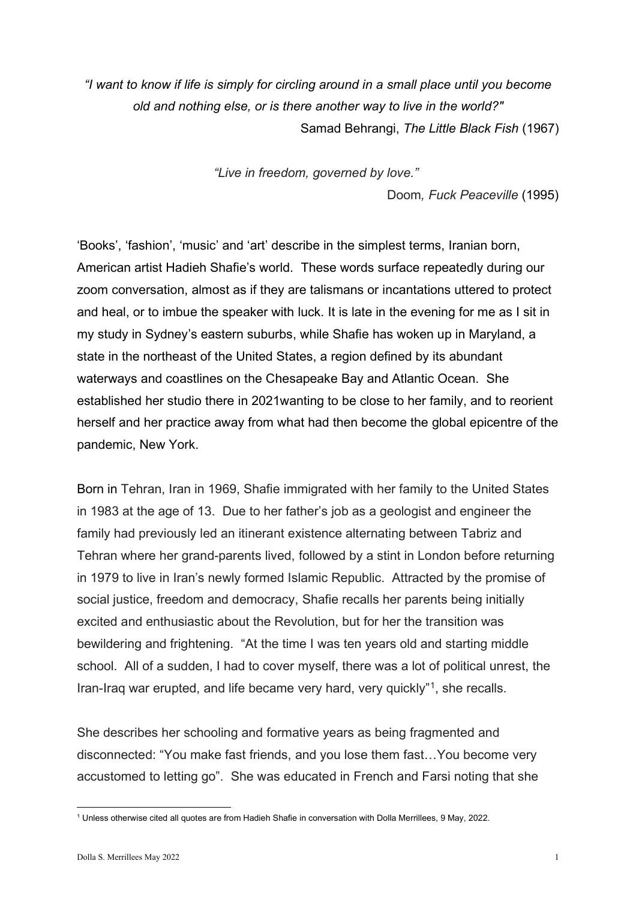*"I want to know if life is simply for circling around in a small place until you become old and nothing else, or is there another way to live in the world?"*  Samad Behrangi, *The Little Black Fish* (1967)

*"Live in freedom, governed by love."*

Doom*, Fuck Peaceville* (1995)

'Books', 'fashion', 'music' and 'art' describe in the simplest terms, Iranian born, American artist Hadieh Shafie's world. These words surface repeatedly during our zoom conversation, almost as if they are talismans or incantations uttered to protect and heal, or to imbue the speaker with luck. It is late in the evening for me as I sit in my study in Sydney's eastern suburbs, while Shafie has woken up in Maryland, a state in the northeast of the United States, a region defined by its abundant waterways and coastlines on the Chesapeake Bay and Atlantic Ocean. She established her studio there in 2021wanting to be close to her family, and to reorient herself and her practice away from what had then become the global epicentre of the pandemic, New York.

Born in Tehran, Iran in 1969, Shafie immigrated with her family to the United States in 1983 at the age of 13. Due to her father's job as a geologist and engineer the family had previously led an itinerant existence alternating between Tabriz and Tehran where her grand-parents lived, followed by a stint in London before returning in 1979 to live in Iran's newly formed Islamic Republic. Attracted by the promise of social justice, freedom and democracy, Shafie recalls her parents being initially excited and enthusiastic about the Revolution, but for her the transition was bewildering and frightening. "At the time I was ten years old and starting middle school. All of a sudden, I had to cover myself, there was a lot of political unrest, the Iran-Iraq war erupted, and life became very hard, very quickly"[1](#page-0-0), she recalls.

She describes her schooling and formative years as being fragmented and disconnected: "You make fast friends, and you lose them fast…You become very accustomed to letting go". She was educated in French and Farsi noting that she

<span id="page-0-0"></span><sup>1</sup> Unless otherwise cited all quotes are from Hadieh Shafie in conversation with Dolla Merrillees, 9 May, 2022.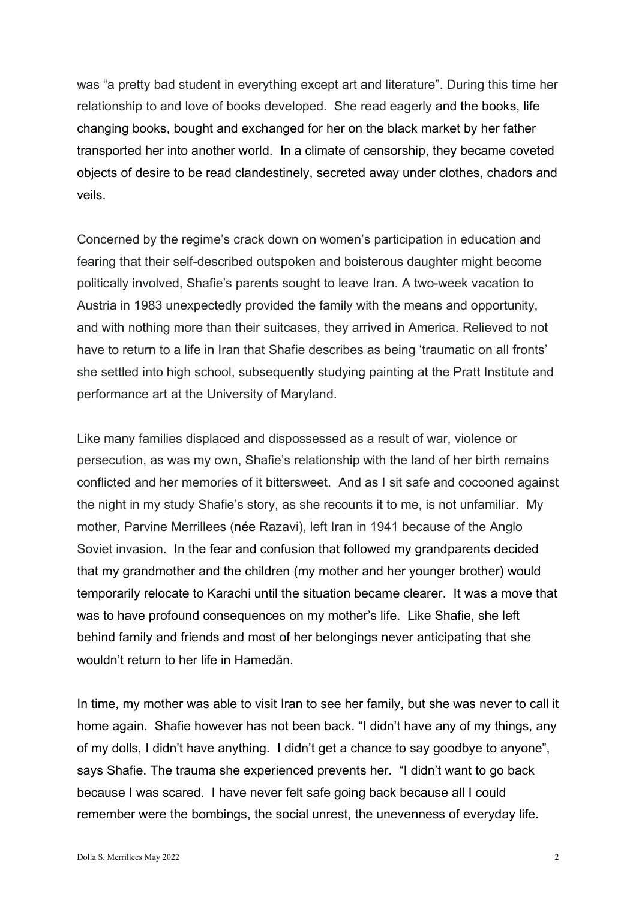was "a pretty bad student in everything except art and literature". During this time her relationship to and love of books developed. She read eagerly and the books, life changing books, bought and exchanged for her on the black market by her father transported her into another world. In a climate of censorship, they became coveted objects of desire to be read clandestinely, secreted away under clothes, chadors and veils.

Concerned by the regime's crack down on women's participation in education and fearing that their self-described outspoken and boisterous daughter might become politically involved, Shafie's parents sought to leave Iran. A two-week vacation to Austria in 1983 unexpectedly provided the family with the means and opportunity, and with nothing more than their suitcases, they arrived in America. Relieved to not have to return to a life in Iran that Shafie describes as being 'traumatic on all fronts' she settled into high school, subsequently studying painting at the Pratt Institute and performance art at the University of Maryland.

Like many families displaced and dispossessed as a result of war, violence or persecution, as was my own, Shafie's relationship with the land of her birth remains conflicted and her memories of it bittersweet. And as I sit safe and cocooned against the night in my study Shafie's story, as she recounts it to me, is not unfamiliar. My mother, Parvine Merrillees (née Razavi), left Iran in 1941 because of the Anglo Soviet invasion. In the fear and confusion that followed my grandparents decided that my grandmother and the children (my mother and her younger brother) would temporarily relocate to Karachi until the situation became clearer. It was a move that was to have profound consequences on my mother's life. Like Shafie, she left behind family and friends and most of her belongings never anticipating that she wouldn't return to her life in Hamedān.

In time, my mother was able to visit Iran to see her family, but she was never to call it home again. Shafie however has not been back. "I didn't have any of my things, any of my dolls, I didn't have anything. I didn't get a chance to say goodbye to anyone", says Shafie. The trauma she experienced prevents her. "I didn't want to go back because I was scared. I have never felt safe going back because all I could remember were the bombings, the social unrest, the unevenness of everyday life.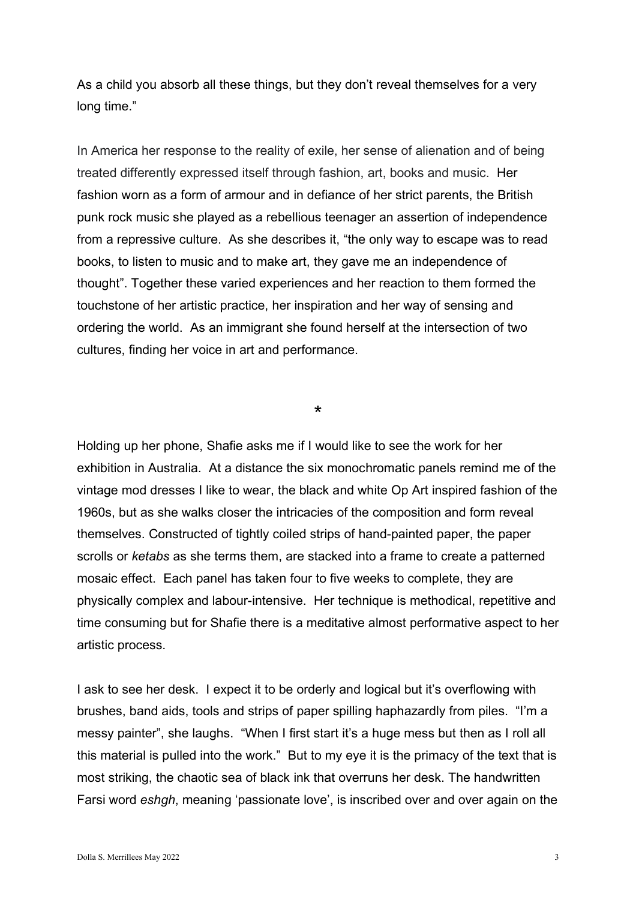As a child you absorb all these things, but they don't reveal themselves for a very long time."

In America her response to the reality of exile, her sense of alienation and of being treated differently expressed itself through fashion, art, books and music. Her fashion worn as a form of armour and in defiance of her strict parents, the British punk rock music she played as a rebellious teenager an assertion of independence from a repressive culture. As she describes it, "the only way to escape was to read books, to listen to music and to make art, they gave me an independence of thought". Together these varied experiences and her reaction to them formed the touchstone of her artistic practice, her inspiration and her way of sensing and ordering the world. As an immigrant she found herself at the intersection of two cultures, finding her voice in art and performance.

\*

Holding up her phone, Shafie asks me if I would like to see the work for her exhibition in Australia. At a distance the six monochromatic panels remind me of the vintage mod dresses I like to wear, the black and white Op Art inspired fashion of the 1960s, but as she walks closer the intricacies of the composition and form reveal themselves. Constructed of tightly coiled strips of hand-painted paper, the paper scrolls or *ketabs* as she terms them, are stacked into a frame to create a patterned mosaic effect. Each panel has taken four to five weeks to complete, they are physically complex and labour-intensive. Her technique is methodical, repetitive and time consuming but for Shafie there is a meditative almost performative aspect to her artistic process.

I ask to see her desk. I expect it to be orderly and logical but it's overflowing with brushes, band aids, tools and strips of paper spilling haphazardly from piles. "I'm a messy painter", she laughs. "When I first start it's a huge mess but then as I roll all this material is pulled into the work." But to my eye it is the primacy of the text that is most striking, the chaotic sea of black ink that overruns her desk. The handwritten Farsi word *eshgh*, meaning 'passionate love', is inscribed over and over again on the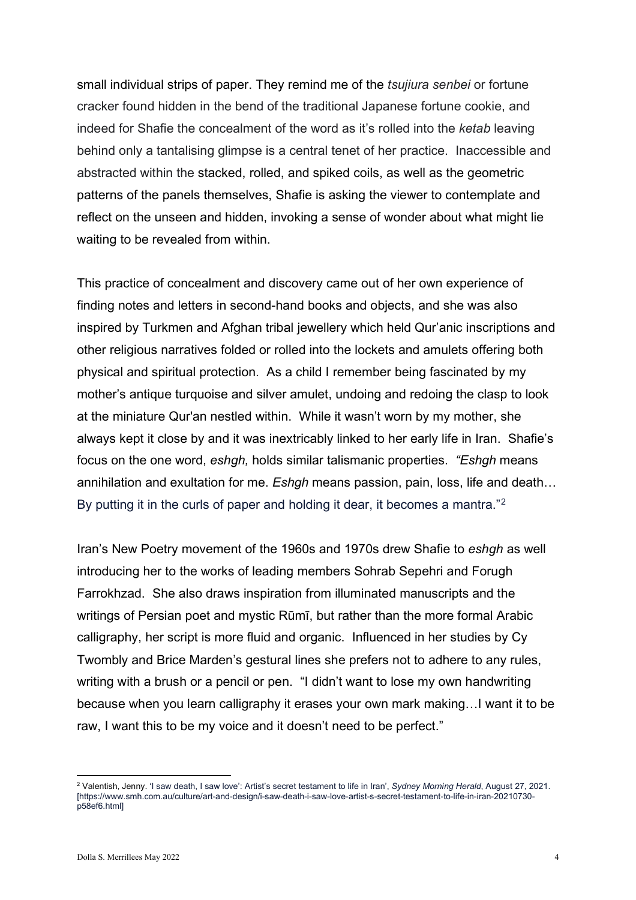small individual strips of paper. They remind me of the *tsujiura senbei* or fortune cracker found hidden in the bend of the traditional Japanese fortune cookie, and indeed for Shafie the concealment of the word as it's rolled into the *ketab* leaving behind only a tantalising glimpse is a central tenet of her practice. Inaccessible and abstracted within the stacked, rolled, and spiked coils, as well as the geometric patterns of the panels themselves, Shafie is asking the viewer to contemplate and reflect on the unseen and hidden, invoking a sense of wonder about what might lie waiting to be revealed from within.

This practice of concealment and discovery came out of her own experience of finding notes and letters in second-hand books and objects, and she was also inspired by Turkmen and Afghan tribal jewellery which held Qur'anic inscriptions and other religious narratives folded or rolled into the lockets and amulets offering both physical and spiritual protection. As a child I remember being fascinated by my mother's antique turquoise and silver amulet, undoing and redoing the clasp to look at the miniature Qur'an nestled within. While it wasn't worn by my mother, she always kept it close by and it was inextricably linked to her early life in Iran. Shafie's focus on the one word, *eshgh,* holds similar talismanic properties. *"Eshgh* means annihilation and exultation for me. *Eshgh* means passion, pain, loss, life and death… By putting it in the curls of paper and holding it dear, it becomes a mantra."<sup>[2](#page-3-0)</sup>

Iran's New Poetry movement of the 1960s and 1970s drew Shafie to *eshgh* as well introducing her to the works of leading members Sohrab Sepehri and Forugh Farrokhzad. She also draws inspiration from illuminated manuscripts and the writings of Persian poet and mystic Rūmī, but rather than the more formal Arabic calligraphy, her script is more fluid and organic. Influenced in her studies by Cy Twombly and Brice Marden's gestural lines she prefers not to adhere to any rules, writing with a brush or a pencil or pen. "I didn't want to lose my own handwriting because when you learn calligraphy it erases your own mark making…I want it to be raw, I want this to be my voice and it doesn't need to be perfect."

<span id="page-3-0"></span><sup>2</sup> Valentish, Jenny. 'I saw death, I saw love': Artist's secret testament to life in Iran', *Sydney Morning Herald*, August 27, 2021. [https://www.smh.com.au/culture/art-and-design/i-saw-death-i-saw-love-artist-s-secret-testament-to-life-in-iran-20210730 p58ef6.html]